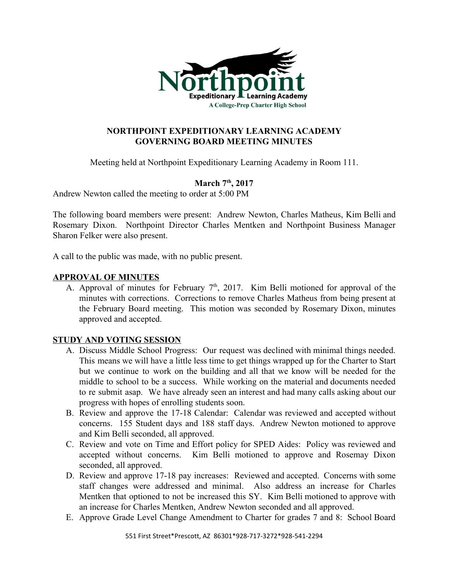

## **NORTHPOINT EXPEDITIONARY LEARNING ACADEMY GOVERNING BOARD MEETING MINUTES**

Meeting held at Northpoint Expeditionary Learning Academy in Room 111.

# **March 7 th , 2017**

Andrew Newton called the meeting to order at 5:00 PM

The following board members were present: Andrew Newton, Charles Matheus, Kim Belli and Rosemary Dixon. Northpoint Director Charles Mentken and Northpoint Business Manager Sharon Felker were also present.

A call to the public was made, with no public present.

## **APPROVAL OF MINUTES**

A. Approval of minutes for February  $7<sup>th</sup>$ , 2017. Kim Belli motioned for approval of the minutes with corrections. Corrections to remove Charles Matheus from being present at the February Board meeting. This motion was seconded by Rosemary Dixon, minutes approved and accepted.

# **STUDY AND VOTING SESSION**

- A. Discuss Middle School Progress: Our request was declined with minimal things needed. This means we will have a little less time to get things wrapped up for the Charter to Start but we continue to work on the building and all that we know will be needed for the middle to school to be a success. While working on the material and documents needed to re submit asap. We have already seen an interest and had many calls asking about our progress with hopes of enrolling students soon.
- B. Review and approve the 17-18 Calendar: Calendar was reviewed and accepted without concerns. 155 Student days and 188 staff days. Andrew Newton motioned to approve and Kim Belli seconded, all approved.
- C. Review and vote on Time and Effort policy for SPED Aides: Policy was reviewed and accepted without concerns. Kim Belli motioned to approve and Rosemay Dixon seconded, all approved.
- D. Review and approve 17-18 pay increases: Reviewed and accepted. Concerns with some staff changes were addressed and minimal. Also address an increase for Charles Mentken that optioned to not be increased this SY. Kim Belli motioned to approve with an increase for Charles Mentken, Andrew Newton seconded and all approved.
- E. Approve Grade Level Change Amendment to Charter for grades 7 and 8: School Board